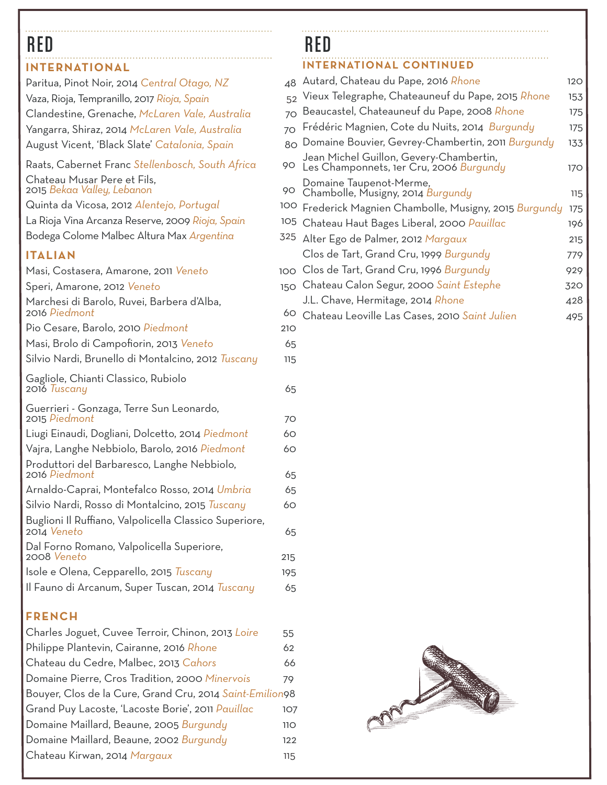### **INTERNATIONAL**

| Paritua, Pinot Noir, 2014 Central Otago, NZ                           | 48  |
|-----------------------------------------------------------------------|-----|
| Vaza, Rioja, Tempranillo, 2017 Rioja, Spain                           | 52  |
| Clandestine, Grenache, McLaren Vale, Australia                        | 70  |
| Yangarra, Shiraz, 2014 McLaren Vale, Australia                        | 70  |
| August Vicent, 'Black Slate' Catalonia, Spain                         | 80  |
| Raats, Cabernet Franc Stellenbosch, South Africa                      | 90  |
| Chateau Musar Pere et Fils,<br>2015 Bekaa Valley, Lebanon             | 90  |
| Quinta da Vicosa, 2012 Alentejo, Portugal                             | 100 |
| La Rioja Vina Arcanza Reserve, 2009 Rioja, Spain                      | 105 |
| Bodega Colome Malbec Altura Max Argentina                             | 325 |
| <b>ITALIAN</b>                                                        |     |
| Masi, Costasera, Amarone, 2011 Veneto                                 | 100 |
| Speri, Amarone, 2012 Veneto                                           | 150 |
| Marchesi di Barolo, Ruvei, Barbera d'Alba,                            |     |
| 2016 Piedmont                                                         | 60  |
| Pio Cesare, Barolo, 2010 Piedmont                                     | 210 |
| Masi, Brolo di Campofiorin, 2013 Veneto                               | 65  |
| Silvio Nardi, Brunello di Montalcino, 2012 <i>Tuscany</i>             | 115 |
| Gagliole, Chianti Classico, Rubiolo<br>2016 Tuscany                   | 65  |
| Guerrieri - Gonzaga, Terre Sun Leonardo,<br>2015 Piedmont             | 70  |
| Liugi Einaudi, Dogliani, Dolcetto, 2014 Piedmont                      | 60  |
| Vajra, Langhe Nebbiolo, Barolo, 2016 Piedmont                         | 60  |
| Produttori del Barbaresco, Langhe Nebbiolo,<br>2016 Piedmont          | 65  |
| Arnaldo-Caprai, Montefalco Rosso, 2014 Umbria                         | 65  |
| Silvio Nardi, Rosso di Montalcino, 2015 <i>Tuscany</i>                | 60  |
| Buglioni Il Ruffiano, Valpolicella Classico Superiore,<br>2014 Veneto | 65  |
| Dal Forno Romano, Valpolicella Superiore,<br>2008 Veneto              |     |
|                                                                       | 215 |
| Isole e Olena, Cepparello, 2015 Tuscany                               | 195 |
| Il Fauno di Arcanum, Super Tuscan, 2014 Tuscany                       | 65  |

## **FRENCH**

| Charles Joguet, Cuvee Terroir, Chinon, 2013 Loire        | 55  |
|----------------------------------------------------------|-----|
| Philippe Plantevin, Cairanne, 2016 Rhone                 | 62  |
| Chateau du Cedre, Malbec, 2013 Cahors                    | 66  |
| Domaine Pierre, Cros Tradition, 2000 Minervois           | 79  |
| Bouyer, Clos de la Cure, Grand Cru, 2014 Saint-Emilion98 |     |
| Grand Puy Lacoste, 'Lacoste Borie', 2011 Pauillac        | 107 |
| Domaine Maillard, Beaune, 2005 Burgundy                  | 11O |
| Domaine Maillard, Beaune, 2002 Burgundy                  | 122 |
| Chateau Kirwan, 2014 Margaux                             | 115 |
|                                                          |     |

# **INTERNATIONAL CONTINUED** RED RED RED

| 48  | Autard, Chateau du Pape, 2016 Rhone                                                | 120 |
|-----|------------------------------------------------------------------------------------|-----|
|     | 52 Vieux Telegraphe, Chateauneuf du Pape, 2015 Rhone                               | 153 |
| 70  | Beaucastel, Chateauneuf du Pape, 2008 Rhone                                        | 175 |
| 70  | Frédéric Magnien, Cote du Nuits, 2014 Burgundy                                     | 175 |
|     | 80 Domaine Bouvier, Gevrey-Chambertin, 2011 Burgundy                               | 133 |
| 90  | Jean Michel Guillon, Gevery-Chambertin,<br>Les Champonnets, 1er Cru, 2006 Burgundy | 170 |
| 90. | Domaine Taupenot-Merme,<br>Chambolle, Musigny, 2014 Burgundy                       | 115 |
| OO  | Frederick Magnien Chambolle, Musigny, 2015 Burgundy                                | 175 |
| 05  | Chateau Haut Bages Liberal, 2000 Pauillac                                          | 196 |
|     | <sup>25</sup> Alter Ego de Palmer, 2012 Margaux                                    | 215 |
|     | Clos de Tart, Grand Cru, 1999 Burgundy                                             | 779 |
| OC  | Clos de Tart, Grand Cru, 1996 Burgundy                                             | 929 |
|     | 50 Chateau Calon Segur, 2000 Saint Estephe                                         | 320 |
|     | J.L. Chave, Hermitage, 2014 Rhone                                                  | 428 |
| 60  | Chateau Leoville Las Cases, 2010 Saint Julien                                      | 495 |

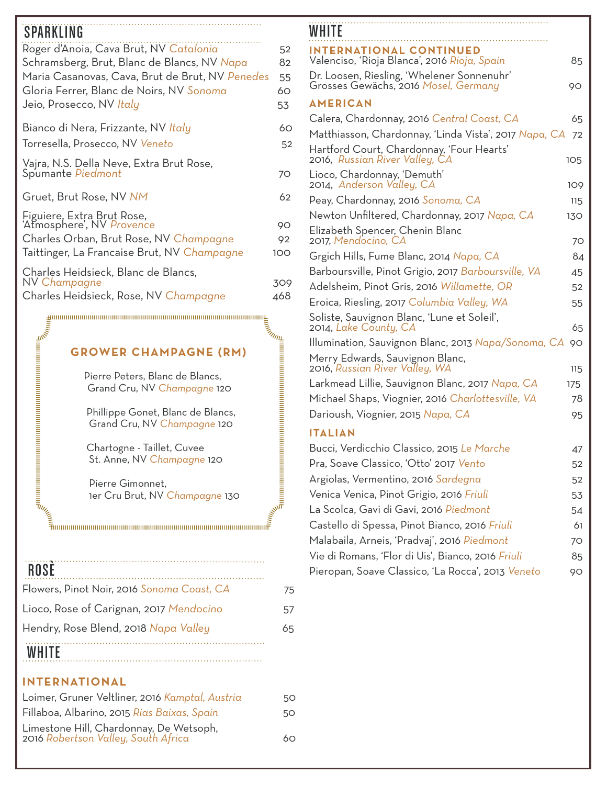# SPARKLING WHITE WHITE WAS ARRESTED FOR A 2009 FOR THE UPPER WHITE WAS ARRESTED FOR A 2009 FOR THE UPPER WHITE THE UPPER WHILE THE UPPER WHILE THE UPPER WAS ARRESTED FOR THE UPPER WHILE THE UPPER WAS ARRESTED FOR THE UPPER

| 9 FAN NLINU                                             |     |
|---------------------------------------------------------|-----|
| Roger d'Anoia, Cava Brut, NV Catalonia                  | 52  |
| Schramsberg, Brut, Blanc de Blancs, NV Napa             | 82  |
| Maria Casanovas, Cava, Brut de Brut, NV Penedes         | 55  |
| Gloria Ferrer, Blanc de Noirs, NV Sonoma                | 60  |
| Jeio, Prosecco, NV Italy                                | 53  |
| Bianco di Nera, Frizzante, NV Italy                     | 60  |
| Torresella, Prosecco, NV Veneto                         | 52  |
| Vajra, N.S. Della Neve, Extra Brut Rose,                |     |
| Spumante Piedmont                                       | 70  |
| Gruet, Brut Rose, NV NM                                 | 62  |
| Figuiere, Extra Brut Rose,<br>'Atmosphere', NV Provence |     |
|                                                         | 90  |
| Charles Orban, Brut Rose, NV Champagne                  | 92  |
| Taittinger, La Francaise Brut, NV Champagne             | 100 |
| Charles Heidsieck, Blanc de Blancs,                     |     |
| NV Champagne                                            | 309 |
| Charles Heidsieck, Rose, NV Champagne                   | 468 |

## **GROWER CHAMPAGNE (RM)**

 Pierre Peters, Blanc de Blancs, Grand Cru, NV *Champagne* 120

 Phillippe Gonet, Blanc de Blancs, Grand Cru, NV *Champagne* 120

 Chartogne - Taillet, Cuvee St. Anne, NV *Champagne* 120

 Pierre Gimonnet, 1er Cru Brut, NV *Champagne* 130

## ŗ

## ROSÈ

| <b>WHITE</b>                               |    |  |  |  |
|--------------------------------------------|----|--|--|--|
| Hendry, Rose Blend, 2018 Napa Valley       |    |  |  |  |
| Lioco, Rose of Carignan, 2017 Mendocino    | 57 |  |  |  |
| Flowers, Pinot Noir, 2016 Sonoma Coast, CA | 75 |  |  |  |
|                                            |    |  |  |  |

### **INTERNATIONAL**

| Loimer, Gruner Veltliner, 2016 Kamptal, Austria                                | 50 |
|--------------------------------------------------------------------------------|----|
| Fillaboa, Albarino, 2015 Rias Baixas, Spain                                    | 50 |
| Limestone Hill, Chardonnay, De Wetsoph,<br>2016 Robertson Valley, South Africa | 60 |

| WHITE                                                                              |     |
|------------------------------------------------------------------------------------|-----|
| <b>INTERNATIONAL CONTINUED</b><br>Valenciso, 'Rioja Blanca', 2016 Rioja, Spain     | 85  |
| Dr. Loosen, Riesling, 'Whelener Sonnenuhr'<br>Grosses Gewächs, 2016 Mosel, Germany | 90  |
| <b>AMERICAN</b>                                                                    |     |
| Calera, Chardonnay, 2016 Central Coast, CA                                         | 65  |
| Matthiasson, Chardonnay, 'Linda Vista', 2017 Napa, CA                              | 72  |
| Hartford Court, Chardonnay, 'Four Hearts'<br>2016, Russian River Valley, CA        | 105 |
| Lioco, Chardonnay, 'Demuth'<br>2014, Anderson Valley, CA                           | 109 |
| Peay, Chardonnay, 2016 Sonoma, CA                                                  | 115 |
| Newton Unfiltered, Chardonnay, 2017 Napa, CA                                       | 130 |
| Elizabeth Spencer, Chenin Blanc<br>2017, Mendocino, CA                             | 70  |
| Grgich Hills, Fume Blanc, 2014 Napa, CA                                            | 84  |
| Barboursville, Pinot Grigio, 2017 Barboursville, VA                                | 45  |
| Adelsheim, Pinot Gris, 2016 <i>Willamette, OR</i>                                  | 52  |
| Eroica, Riesling, 2017 Columbia Valley, WA                                         | 55  |
| Soliste, Sauvignon Blanc, 'Lune et Soleil',<br>2014, Lake County, CA               | 65  |
| Illumination, Sauvignon Blanc, 2013 Napa/Sonoma, CA                                | 90  |
| Merry Edwards, Sauvignon Blanc,<br>2016, Russian River Valley, WA                  | 115 |
| Larkmead Lillie, Sauvignon Blanc, 2017 Napa, CA                                    | 175 |
| Michael Shaps, Viognier, 2016 Charlottesville, VA                                  | 78  |
| Darioush, Viognier, 2015 Napa, CA                                                  | 95  |
| <b>ITALIAN</b>                                                                     |     |
| Bucci, Verdicchio Classico, 2015 Le Marche                                         | 47  |
| Pra, Soave Classico, 'Otto' 2017 Vento                                             | 52  |
| Argiolas, Vermentino, 2016 Sardegna                                                | 52  |
| Venica Venica, Pinot Grigio, 2016 Friuli                                           | 53  |
| La Scolca, Gavi di Gavi, 2016 Piedmont                                             | 54  |
| Castello di Spessa, Pinot Bianco, 2016 Friuli                                      | 61  |
| Malabaila, Arneis, 'Pradvaj', 2016 Piedmont                                        | 70  |

| Bucci, Verdicchio Classico, 2015 Le Marche        | 47 |
|---------------------------------------------------|----|
| Pra, Soave Classico, 'Otto' 2017 Vento            | 52 |
| Argiolas, Vermentino, 2016 Sardegna               | 52 |
| Venica Venica, Pinot Grigio, 2016 Friuli          | 53 |
| La Scolca, Gavi di Gavi, 2016 Piedmont            | 54 |
| Castello di Spessa, Pinot Bianco, 2016 Friuli     | 61 |
| Malabaila, Arneis, 'Pradvaj', 2016 Piedmont       | 70 |
| Vie di Romans, 'Flor di Uis', Bianco, 2016 Friuli | 85 |
| Pieropan, Soave Classico, 'La Rocca', 2013 Veneto | 90 |